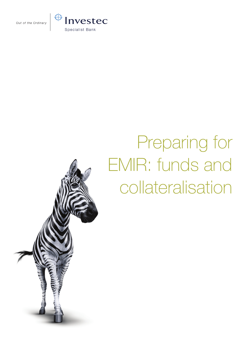

# Preparing for EMIR: funds and collateralisation

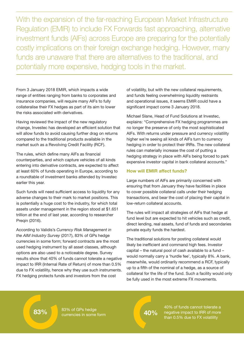With the expansion of the far-reaching European Market Infrastructure Regulation (EMIR) to include FX Forwards fast approaching, alternative investment funds (AIFs) across Europe are preparing for the potentially costly implications on their foreign exchange hedging. However, many funds are unaware that there are alternatives to the traditional, and potentially more expensive, hedging tools in the market.

From 3 January 2018 EMIR, which impacts a wide range of entities ranging from banks to corporates and insurance companies, will require many AIFs to fully collateralise their FX hedges as part of its aim to lower the risks associated with derivatives.

Having reviewed the impact of the new regulatory change, Investec has developed an efficient solution that will allow funds to avoid causing further drag on returns compared to the traditional products available in the market such as a Revolving Credit Facility (RCF).

The rules, which define many AIFs as financial counterparties, and which capture vehicles of all kinds entering into derivative contracts, are expected to affect at least 60% of funds operating in Europe, according to a roundtable of investment banks attended by Investec earlier this year.

Such funds will need sufficient access to liquidity for any adverse changes to their mark to market positions. This is potentially a huge cost to the industry, for which total assets under management in the region stood at \$1.651 trillion at the end of last year, according to researcher Preqin (2016).

According to Validis's *Currency Risk Management in the AIM Industry Survey* (2017), 83% of GPs hedge currencies in some form; forward contracts are the most used hedging instrument by all asset classes, although options are also used to a noticeable degree. Survey results show that 40% of funds cannot tolerate a negative impact to IRR (Internal Rate of Return) of more than 0.5% due to FX volatility, hence why they use such instruments. FX hedging protects funds and investors from the cost

of volatility, but with the new collateral requirements, and funds feeling overwhelming liquidity restraints and operational issues, it seems EMIR could have a significant impact come 3 January 2018.

Michael Slane, Head of Fund Solutions at Investec, explains: "Comprehensive FX hedging programmes are no longer the preserve of only the most sophisticated AIFs. With returns under pressure and currency volatility higher we're seeing all kinds of AIFs turn to currency hedging in order to protect their IRRs. The new collateral rules can materially increase the cost of putting a hedging strategy in place with AIFs being forced to park expensive investor capital in bank collateral accounts."

## How will EMIR affect funds?

Large numbers of AIFs are primarily concerned with ensuring that from January they have facilities in place to cover possible collateral calls under their hedging transactions, and bear the cost of placing their capital in low-return collateral accounts.

The rules will impact all strategies of AIFs that hedge at fund level but are expected to hit vehicles such as credit, direct lending, real assets, fund of funds and secondaries private equity funds the hardest.

The traditional solutions for posting collateral would likely be inefficient and command high fees. Investor capital – the natural pool of cash available to a fund – would normally carry a 'hurdle fee', typically 8%. A bank, meanwhile, would ordinarily recommend a RCF, typically up to a fifth of the nominal of a hedge, as a source of collateral for the life of the fund. Such a facility would only be fully used in the most extreme FX movements.

83% of GPs hedge 83% 83% of GPS heage<br>currencies in some form **83% 83%** 

40% of funds cannot tolerate a negative impact to IRR of more than 0.5% due to FX volatility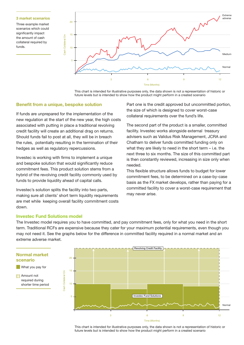#### 3 market scenarios

Three example market scenarios which could significantly impact the amount of cash collateral required by funds.



This chart is intended for illustrative purposes only, the data shown is not a representation of historic or future levels but is intended to show how the product might perform in a created scenario

#### Benefit from a unique, bespoke solution

If funds are unprepared for the implementation of the new regulation at the start of the new year, the high costs associated with putting in place a traditional revolving credit facility will create an additional drag on returns. Should funds fail to post at all, they will be in breach the rules, potentially resulting in the termination of their hedges as well as regulatory repercussions.

Investec is working with firms to implement a unique and bespoke solution that would significantly reduce commitment fees. This product solution stems from a hybrid of the revolving credit facility commonly used by funds to provide liquidity ahead of capital calls.

Investec's solution splits the facility into two parts, making sure all clients' short term liquidity requirements are met while keeping overall facility commitment costs down.

Part one is the credit approved but uncommitted portion, the size of which is designed to cover worst-case collateral requirements over the fund's life.

The second part of the product is a smaller, committed facility. Investec works alongside external treasury advisers such as Validus Risk Management, JCRA and Chatham to deliver funds committed funding only on what they are likely to need in the short term – i.e. the next three to six months. The size of this committed part is then constantly reviewed, increasing in size only when needed.

This flexible structure allows funds to budget for lower commitment fees, to be determined on a case-by-case basis as the FX market develops, rather than paying for a committed facility to cover a worst-case requirement that may never arise.

### Investec Fund Solutions model

The Investec model requires you to have committed, and pay commitment fees, only for what you need in the short term. Traditional RCFs are expensive because they cater for your maximum potential requirements, even though you may not need it. See the graphs below for the difference in committed facility required in a normal market and an extreme adverse market.



This chart is intended for illustrative purposes only, the data shown is not a representation of historic or future levels but is intended to show how the product might perform in a created scenario